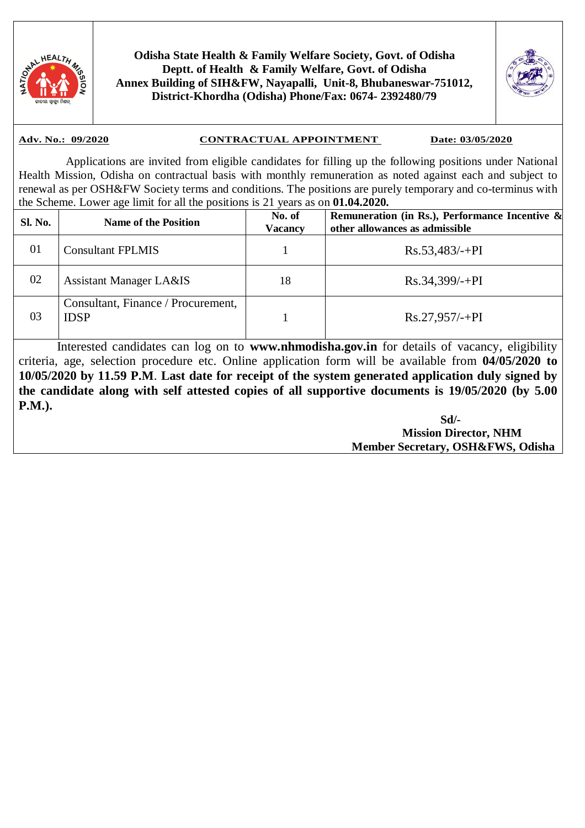

**Odisha State Health & Family Welfare Society, Govt. of Odisha Deptt. of Health & Family Welfare, Govt. of Odisha Annex Building of SIH&FW, Nayapalli, Unit-8, Bhubaneswar-751012, District-Khordha (Odisha) Phone/Fax: 0674- 2392480/79** 



### **Adv. No.: 09/2020 CONTRACTUAL APPOINTMENT Date: 03/05/2020**

 Applications are invited from eligible candidates for filling up the following positions under National Health Mission, Odisha on contractual basis with monthly remuneration as noted against each and subject to renewal as per OSH&FW Society terms and conditions. The positions are purely temporary and co-terminus with the Scheme. Lower age limit for all the positions is 21 years as on **01.04.2020.**

| <b>Sl. No.</b> | <b>Name of the Position</b>                       | No. of<br>Vacancy | Remuneration (in Rs.), Performance Incentive $\&$<br>other allowances as admissible |
|----------------|---------------------------------------------------|-------------------|-------------------------------------------------------------------------------------|
| 01             | <b>Consultant FPLMIS</b>                          |                   | $Rs.53,483/+PI$                                                                     |
| 02             | <b>Assistant Manager LA&amp;IS</b>                | 18                | $Rs.34,399/-+PI$                                                                    |
| 03             | Consultant, Finance / Procurement,<br><b>IDSP</b> |                   | $Rs.27,957/-+PI$                                                                    |

 Interested candidates can log on to **www.nhmodisha.gov.in** for details of vacancy, eligibility criteria, age, selection procedure etc. Online application form will be available from **04/05/2020 to 10/05/2020 by 11.59 P.M**. **Last date for receipt of the system generated application duly signed by the candidate along with self attested copies of all supportive documents is 19/05/2020 (by 5.00 P.M.).**

 **Sd/- Mission Director, NHM Member Secretary, OSH&FWS, Odisha**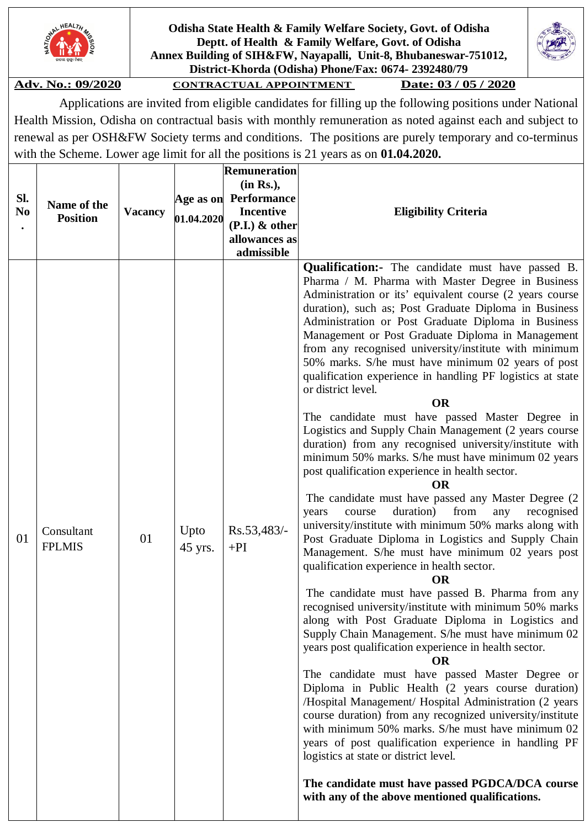

**Odisha State Health & Family Welfare Society, Govt. of Odisha Deptt. of Health & Family Welfare, Govt. of Odisha Annex Building of SIH&FW, Nayapalli, Unit-8, Bhubaneswar-751012, District-Khorda (Odisha) Phone/Fax: 0674- 2392480/79** 

**Adv. No.: 09/2020 CONTRACTUAL APPOINTMENT Date: 03 / 05 / 2020** 

 Applications are invited from eligible candidates for filling up the following positions under National Health Mission, Odisha on contractual basis with monthly remuneration as noted against each and subject to renewal as per OSH&FW Society terms and conditions. The positions are purely temporary and co-terminus with the Scheme. Lower age limit for all the positions is 21 years as on **01.04.2020.**

|                       |                             |                |                 | <b>Remuneration</b>                       |                                                                                                                                                                                                                                                                                                                                                                                                                                                                                                                                                                                                                                                                                                                                                                                                                                                                                                                                                                                                                                                                                                                                                                                                                                                                                                                                                                                                                                                                                                                                                                                                                                                                                                                                                                                                                                                                                                                                                                                                       |
|-----------------------|-----------------------------|----------------|-----------------|-------------------------------------------|-------------------------------------------------------------------------------------------------------------------------------------------------------------------------------------------------------------------------------------------------------------------------------------------------------------------------------------------------------------------------------------------------------------------------------------------------------------------------------------------------------------------------------------------------------------------------------------------------------------------------------------------------------------------------------------------------------------------------------------------------------------------------------------------------------------------------------------------------------------------------------------------------------------------------------------------------------------------------------------------------------------------------------------------------------------------------------------------------------------------------------------------------------------------------------------------------------------------------------------------------------------------------------------------------------------------------------------------------------------------------------------------------------------------------------------------------------------------------------------------------------------------------------------------------------------------------------------------------------------------------------------------------------------------------------------------------------------------------------------------------------------------------------------------------------------------------------------------------------------------------------------------------------------------------------------------------------------------------------------------------------|
| Sl.<br>N <sub>0</sub> |                             |                |                 | (in Rs.),                                 |                                                                                                                                                                                                                                                                                                                                                                                                                                                                                                                                                                                                                                                                                                                                                                                                                                                                                                                                                                                                                                                                                                                                                                                                                                                                                                                                                                                                                                                                                                                                                                                                                                                                                                                                                                                                                                                                                                                                                                                                       |
|                       | Name of the                 |                |                 | Age as on Performance<br><b>Incentive</b> | <b>Eligibility Criteria</b>                                                                                                                                                                                                                                                                                                                                                                                                                                                                                                                                                                                                                                                                                                                                                                                                                                                                                                                                                                                                                                                                                                                                                                                                                                                                                                                                                                                                                                                                                                                                                                                                                                                                                                                                                                                                                                                                                                                                                                           |
|                       | <b>Position</b>             | <b>Vacancy</b> | 01.04.2020      | $(P.I.)$ & other                          |                                                                                                                                                                                                                                                                                                                                                                                                                                                                                                                                                                                                                                                                                                                                                                                                                                                                                                                                                                                                                                                                                                                                                                                                                                                                                                                                                                                                                                                                                                                                                                                                                                                                                                                                                                                                                                                                                                                                                                                                       |
|                       |                             |                |                 | allowances as                             |                                                                                                                                                                                                                                                                                                                                                                                                                                                                                                                                                                                                                                                                                                                                                                                                                                                                                                                                                                                                                                                                                                                                                                                                                                                                                                                                                                                                                                                                                                                                                                                                                                                                                                                                                                                                                                                                                                                                                                                                       |
|                       |                             |                |                 | admissible                                |                                                                                                                                                                                                                                                                                                                                                                                                                                                                                                                                                                                                                                                                                                                                                                                                                                                                                                                                                                                                                                                                                                                                                                                                                                                                                                                                                                                                                                                                                                                                                                                                                                                                                                                                                                                                                                                                                                                                                                                                       |
| 01                    | Consultant<br><b>FPLMIS</b> | 01             | Upto<br>45 yrs. | Rs.53,483/-<br>$+PI$                      | <b>Qualification:</b> The candidate must have passed B.<br>Pharma / M. Pharma with Master Degree in Business<br>Administration or its' equivalent course (2 years course<br>duration), such as; Post Graduate Diploma in Business<br>Administration or Post Graduate Diploma in Business<br>Management or Post Graduate Diploma in Management<br>from any recognised university/institute with minimum<br>50% marks. S/he must have minimum 02 years of post<br>qualification experience in handling PF logistics at state<br>or district level.<br><b>OR</b><br>The candidate must have passed Master Degree in<br>Logistics and Supply Chain Management (2 years course<br>duration) from any recognised university/institute with<br>minimum 50% marks. S/he must have minimum 02 years<br>post qualification experience in health sector.<br><b>OR</b><br>The candidate must have passed any Master Degree (2)<br>from<br>duration)<br>recognised<br>course<br>any<br>years<br>university/institute with minimum 50% marks along with<br>Post Graduate Diploma in Logistics and Supply Chain<br>Management. S/he must have minimum 02 years post<br>qualification experience in health sector.<br><b>OR</b><br>The candidate must have passed B. Pharma from any<br>recognised university/institute with minimum 50% marks<br>along with Post Graduate Diploma in Logistics and<br>Supply Chain Management. S/he must have minimum 02<br>years post qualification experience in health sector.<br>OR<br>The candidate must have passed Master Degree or<br>Diploma in Public Health (2 years course duration)<br>/Hospital Management/ Hospital Administration (2 years<br>course duration) from any recognized university/institute<br>with minimum 50% marks. S/he must have minimum 02<br>years of post qualification experience in handling PF<br>logistics at state or district level.<br>The candidate must have passed PGDCA/DCA course<br>with any of the above mentioned qualifications. |

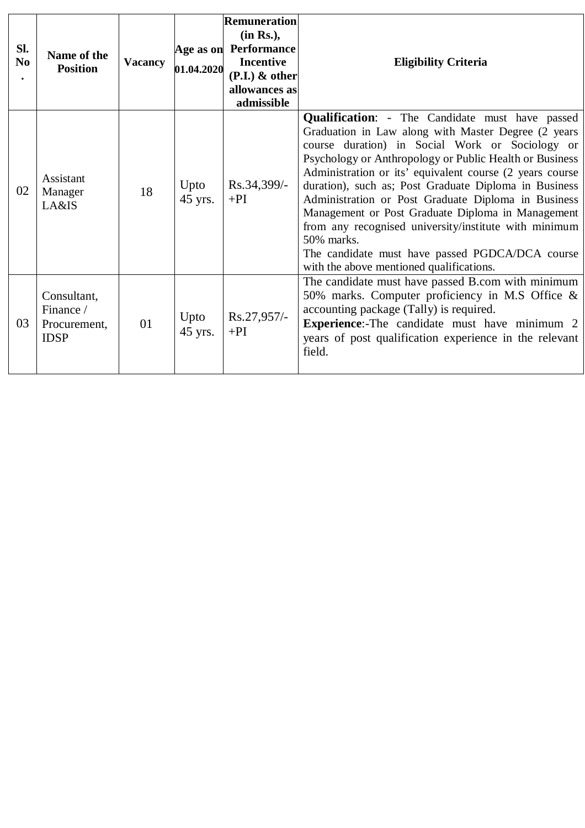| Sl.<br>N <sub>0</sub> | Name of the<br><b>Position</b>                          | <b>Vacancy</b> | 01.04.2020      | Remuneration<br>(in Rs.),<br>Age as on Performance<br><b>Incentive</b><br>$(P.I.)$ & other<br>allowances as<br>admissible | <b>Eligibility Criteria</b>                                                                                                                                                                                                                                                                                                                                                                                                                                                                                                                                                                                                        |
|-----------------------|---------------------------------------------------------|----------------|-----------------|---------------------------------------------------------------------------------------------------------------------------|------------------------------------------------------------------------------------------------------------------------------------------------------------------------------------------------------------------------------------------------------------------------------------------------------------------------------------------------------------------------------------------------------------------------------------------------------------------------------------------------------------------------------------------------------------------------------------------------------------------------------------|
| 02                    | Assistant<br>Manager<br>LA&IS                           | 18             | Upto<br>45 yrs. | Rs.34,399/-<br>$+PI$                                                                                                      | <b>Qualification:</b> - The Candidate must have passed<br>Graduation in Law along with Master Degree (2 years<br>course duration) in Social Work or Sociology or<br>Psychology or Anthropology or Public Health or Business<br>Administration or its' equivalent course (2 years course<br>duration), such as; Post Graduate Diploma in Business<br>Administration or Post Graduate Diploma in Business<br>Management or Post Graduate Diploma in Management<br>from any recognised university/institute with minimum<br>50% marks.<br>The candidate must have passed PGDCA/DCA course<br>with the above mentioned qualifications. |
| 03                    | Consultant,<br>Finance /<br>Procurement,<br><b>IDSP</b> | 01             | Upto<br>45 yrs. | Rs.27,957/-<br>$+PI$                                                                                                      | The candidate must have passed B.com with minimum<br>50% marks. Computer proficiency in M.S Office &<br>accounting package (Tally) is required.<br><b>Experience:-The candidate must have minimum 2</b><br>years of post qualification experience in the relevant<br>field.                                                                                                                                                                                                                                                                                                                                                        |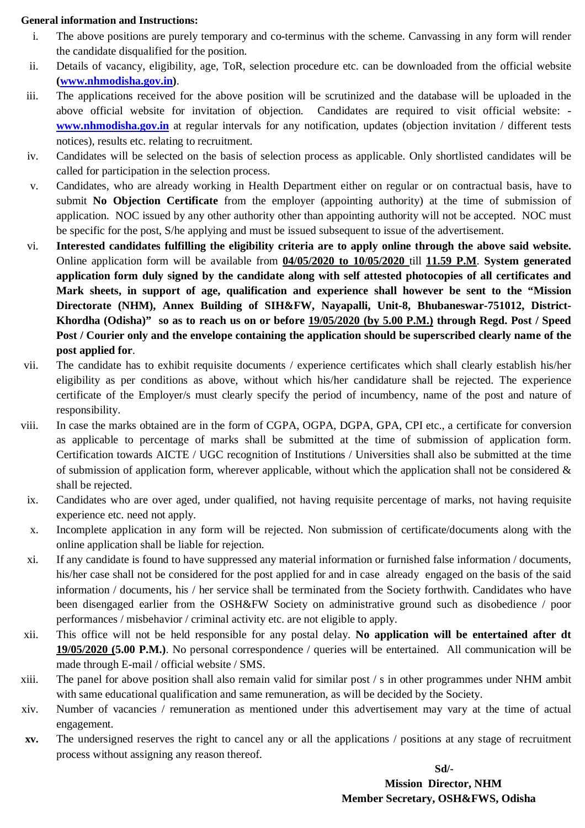#### **General information and Instructions:**

- i. The above positions are purely temporary and co-terminus with the scheme. Canvassing in any form will render the candidate disqualified for the position.
- ii. Details of vacancy, eligibility, age, ToR, selection procedure etc. can be downloaded from the official website **(www.nhmodisha.gov.in)**.
- iii. The applications received for the above position will be scrutinized and the database will be uploaded in the above official website for invitation of objection. Candidates are required to visit official website: **www.nhmodisha.gov.in** at regular intervals for any notification, updates (objection invitation / different tests notices), results etc. relating to recruitment.
- iv. Candidates will be selected on the basis of selection process as applicable. Only shortlisted candidates will be called for participation in the selection process.
- v. Candidates, who are already working in Health Department either on regular or on contractual basis, have to submit **No Objection Certificate** from the employer (appointing authority) at the time of submission of application. NOC issued by any other authority other than appointing authority will not be accepted. NOC must be specific for the post, S/he applying and must be issued subsequent to issue of the advertisement.
- vi. **Interested candidates fulfilling the eligibility criteria are to apply online through the above said website.** Online application form will be available from **04/05/2020 to 10/05/2020** till **11.59 P.M**. **System generated application form duly signed by the candidate along with self attested photocopies of all certificates and Mark sheets, in support of age, qualification and experience shall however be sent to the "Mission Directorate (NHM), Annex Building of SIH&FW, Nayapalli, Unit-8, Bhubaneswar-751012, District-Khordha (Odisha)" so as to reach us on or before 19/05/2020 (by 5.00 P.M.) through Regd. Post / Speed Post / Courier only and the envelope containing the application should be superscribed clearly name of the post applied for**.
- vii. The candidate has to exhibit requisite documents / experience certificates which shall clearly establish his/her eligibility as per conditions as above, without which his/her candidature shall be rejected. The experience certificate of the Employer/s must clearly specify the period of incumbency, name of the post and nature of responsibility.
- viii. In case the marks obtained are in the form of CGPA, OGPA, DGPA, GPA, CPI etc., a certificate for conversion as applicable to percentage of marks shall be submitted at the time of submission of application form. Certification towards AICTE / UGC recognition of Institutions / Universities shall also be submitted at the time of submission of application form, wherever applicable, without which the application shall not be considered  $\&$ shall be rejected.
- ix. Candidates who are over aged, under qualified, not having requisite percentage of marks, not having requisite experience etc. need not apply.
- x. Incomplete application in any form will be rejected. Non submission of certificate/documents along with the online application shall be liable for rejection.
- xi. If any candidate is found to have suppressed any material information or furnished false information / documents, his/her case shall not be considered for the post applied for and in case already engaged on the basis of the said information / documents, his / her service shall be terminated from the Society forthwith. Candidates who have been disengaged earlier from the OSH&FW Society on administrative ground such as disobedience / poor performances / misbehavior / criminal activity etc. are not eligible to apply.
- xii. This office will not be held responsible for any postal delay. **No application will be entertained after dt 19/05/2020 (5.00 P.M.)**. No personal correspondence / queries will be entertained. All communication will be made through E-mail / official website / SMS.
- xiii. The panel for above position shall also remain valid for similar post / s in other programmes under NHM ambit with same educational qualification and same remuneration, as will be decided by the Society.
- xiv. Number of vacancies / remuneration as mentioned under this advertisement may vary at the time of actual engagement.
- **xv.** The undersigned reserves the right to cancel any or all the applications / positions at any stage of recruitment process without assigning any reason thereof.

 **Sd/- Mission Director, NHM Member Secretary, OSH&FWS, Odisha**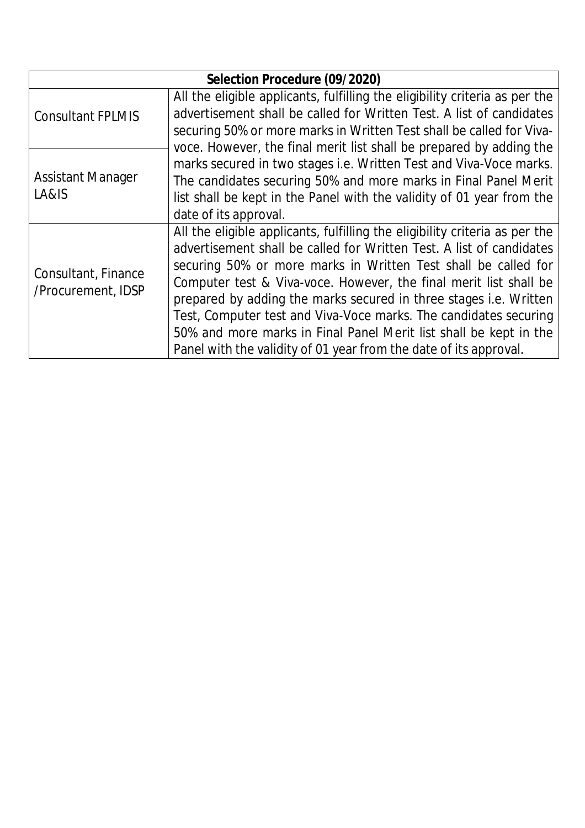| Selection Procedure (09/2020) |                                                                             |  |  |
|-------------------------------|-----------------------------------------------------------------------------|--|--|
|                               | All the eligible applicants, fulfilling the eligibility criteria as per the |  |  |
| <b>Consultant FPLMIS</b>      | advertisement shall be called for Written Test. A list of candidates        |  |  |
|                               | securing 50% or more marks in Written Test shall be called for Viva-        |  |  |
|                               | voce. However, the final merit list shall be prepared by adding the         |  |  |
|                               | marks secured in two stages i.e. Written Test and Viva-Voce marks.          |  |  |
| <b>Assistant Manager</b>      | The candidates securing 50% and more marks in Final Panel Merit             |  |  |
| LA&IS                         | list shall be kept in the Panel with the validity of 01 year from the       |  |  |
|                               | date of its approval.                                                       |  |  |
|                               | All the eligible applicants, fulfilling the eligibility criteria as per the |  |  |
|                               | advertisement shall be called for Written Test. A list of candidates        |  |  |
| Consultant, Finance           | securing 50% or more marks in Written Test shall be called for              |  |  |
| /Procurement, IDSP            | Computer test & Viva-voce. However, the final merit list shall be           |  |  |
|                               | prepared by adding the marks secured in three stages <i>i.e.</i> Written    |  |  |
|                               | Test, Computer test and Viva-Voce marks. The candidates securing            |  |  |
|                               | 50% and more marks in Final Panel Merit list shall be kept in the           |  |  |
|                               | Panel with the validity of 01 year from the date of its approval.           |  |  |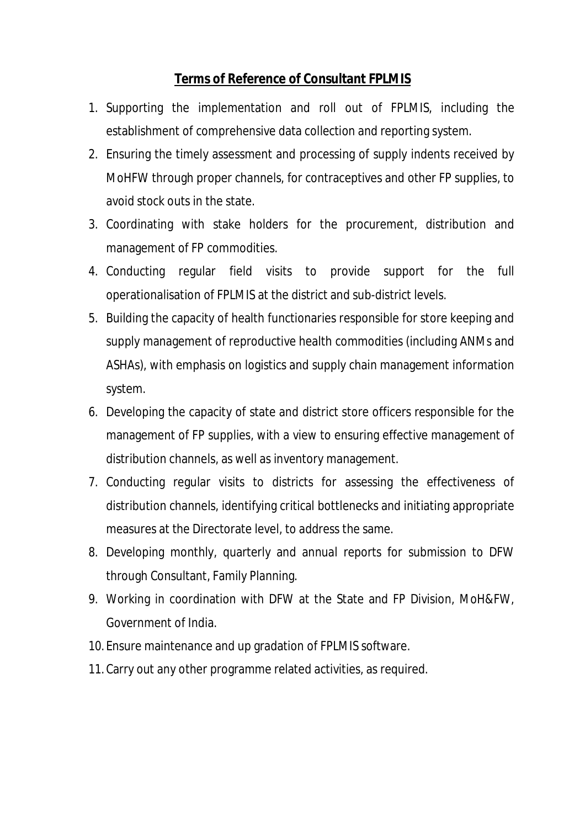## **Terms of Reference of Consultant FPLMIS**

- 1. Supporting the implementation and roll out of FPLMIS, including the establishment of comprehensive data collection and reporting system.
- 2. Ensuring the timely assessment and processing of supply indents received by MoHFW through proper channels, for contraceptives and other FP supplies, to avoid stock outs in the state.
- 3. Coordinating with stake holders for the procurement, distribution and management of FP commodities.
- 4. Conducting regular field visits to provide support for the full operationalisation of FPLMIS at the district and sub-district levels.
- 5. Building the capacity of health functionaries responsible for store keeping and supply management of reproductive health commodities (including ANMs and ASHAs), with emphasis on logistics and supply chain management information system.
- 6. Developing the capacity of state and district store officers responsible for the management of FP supplies, with a view to ensuring effective management of distribution channels, as well as inventory management.
- 7. Conducting regular visits to districts for assessing the effectiveness of distribution channels, identifying critical bottlenecks and initiating appropriate measures at the Directorate level, to address the same.
- 8. Developing monthly, quarterly and annual reports for submission to DFW through Consultant, Family Planning.
- 9. Working in coordination with DFW at the State and FP Division, MoH&FW, Government of India.
- 10. Ensure maintenance and up gradation of FPLMIS software.
- 11. Carry out any other programme related activities, as required.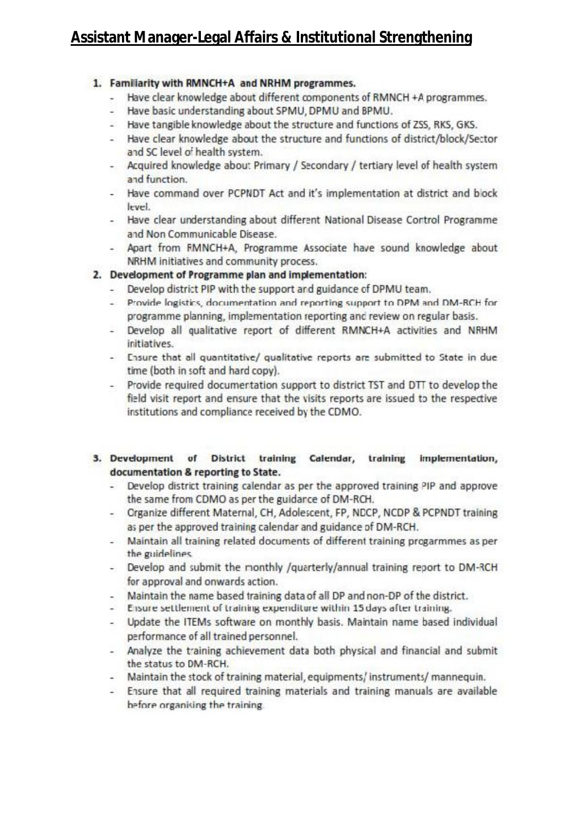# Assistant Manager-Legal Affairs & Institutional Strengthening

## 1. Familiarity with RMNCH+A and NRHM programmes.

- Have clear knowledge about different components of RMNCH +A programmes.  $\sim$
- Have basic understanding about SPMU, DPMU and BPMU.
- Have tangible knowledge about the structure and functions of ZSS, RKS, GKS.
- Have clear knowledge about the structure and functions of district/block/Sector  $25$ and SC level of health system.
- Acquired knowledge about Primary / Secondary / tertiary level of health system and function.
- Have command over PCPNDT Act and it's implementation at district and block level.
- Have clear understanding about different National Disease Cortrol Programme and Non Communicable Disease.
- Apart from FMNCH+A, Programme Associate have sound knowledge about NRHM initiatives and community process.

## 2. Development of Programme plan and implementation:

- Develop district PIP with the support and guidance of DPMU team.  $-1$
- $\sim$ Provide logistics, documentation and reporting support to DPM and DM-RCH for programme planning, implementation reporting and review on regular basis.
- Develop all qualitative report of different RMNCH+A activities and NRHM initiatives.
- Ensure that all quantitative/ qualitative reports are submitted to State in due time (both in soft and hard copy).
- Provide required documentation support to district TST and DTT to develop the field visit report and ensure that the visits reports are issued to the respective institutions and compliance received by the CDMO.

## 3. Development of District training Calendar, training implementation, documentation & reporting to State.

- Develop district training calendar as per the approved training PIP and approve  $-1$ the same from CDMO as per the guidarce of DM-RCH.
- Crganize different Maternal, CH, Adolescent, FP, NDCP, NCDP & PCPNDT training as per the approved training calendar and guidance of DM-RCH.
- 28. Maintain all training related documents of different training progarmmes as per the guidelines.
- Develop and submit the monthly /quarterly/annual training report to DM-RCH for approval and onwards action.
- Maintain the name based training data of all DP and non-DP of the district.
- Ensure settlement of training expenditure within 15 days after training.
- Update the ITEMs software on monthly basis. Maintain name based individual 22.11 performance of all trained personnel.
- Analyze the training achievement data both physical and financial and submit the status to DM-RCH.
- Maintain the stock of training material, equipments/instruments/ mannequin.
- Ensure that all required training materials and training manuals are available before organising the training.